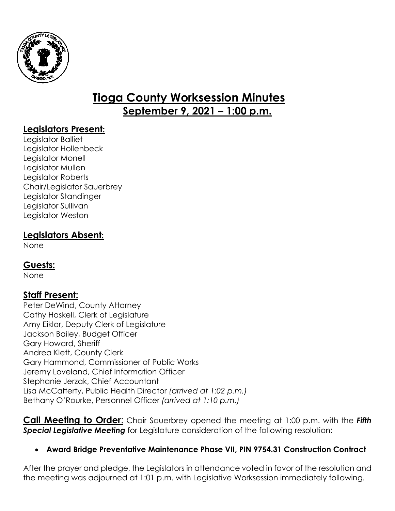

# **Tioga County Worksession Minutes September 9, 2021 – 1:00 p.m.**

## **Legislators Present:**

Legislator Balliet Legislator Hollenbeck Legislator Monell Legislator Mullen Legislator Roberts Chair/Legislator Sauerbrey Legislator Standinger Legislator Sullivan Legislator Weston

## **Legislators Absent:**

None

## **Guests:**

None

# **Staff Present:**

Peter DeWind, County Attorney Cathy Haskell, Clerk of Legislature Amy Eiklor, Deputy Clerk of Legislature Jackson Bailey, Budget Officer Gary Howard, Sheriff Andrea Klett, County Clerk Gary Hammond, Commissioner of Public Works Jeremy Loveland, Chief Information Officer Stephanie Jerzak, Chief Accountant Lisa McCafferty, Public Health Director *(arrived at 1:02 p.m.)* Bethany O'Rourke, Personnel Officer *(arrived at 1:10 p.m.)*

**Call Meeting to Order**: Chair Sauerbrey opened the meeting at 1:00 p.m. with the *Fifth Special Legislative Meeting* for Legislature consideration of the following resolution:

#### **Award Bridge Preventative Maintenance Phase VII, PIN 9754.31 Construction Contract**

After the prayer and pledge, the Legislators in attendance voted in favor of the resolution and the meeting was adjourned at 1:01 p.m. with Legislative Worksession immediately following.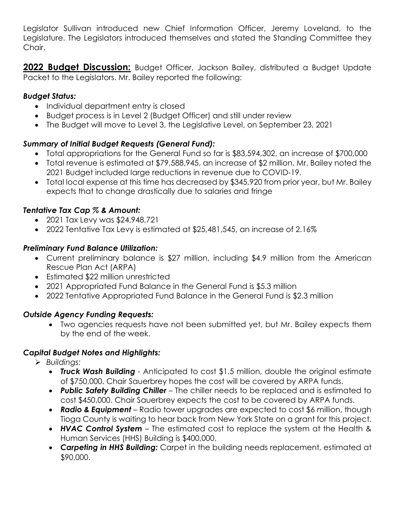Legislator Sullivan introduced new Chief Information Officer, Jeremy Loveland, to the Legislature. The Legislators introduced themselves and stated the Standing Committee they Chair.

**2022 Budget Discussion:** Budget Officer, Jackson Bailey, distributed a Budget Update Packet to the Legislators. Mr. Bailey reported the following:

#### *Budget Status:*

- Individual department entry is closed
- Budget process is in Level 2 (Budget Officer) and still under review
- The Budget will move to Level 3, the Legislative Level, on September 23, 2021

#### *Summary of Initial Budget Requests (General Fund):*

- Total appropriations for the General Fund so far is \$83,594,302, an increase of \$700,000
- Total revenue is estimated at \$79,588,945, an increase of \$2 million. Mr. Bailey noted the 2021 Budget included large reductions in revenue due to COVID-19.
- Total local expense at this time has decreased by \$345,920 from prior year, but Mr. Bailey expects that to change drastically due to salaries and fringe

#### *Tentative Tax Cap % & Amount:*

- 2021 Tax Levy was \$24,948,721
- 2022 Tentative Tax Levy is estimated at \$25,481,545, an increase of 2.16%

#### *Preliminary Fund Balance Utilization:*

- Current preliminary balance is \$27 million, including \$4.9 million from the American Rescue Plan Act (ARPA)
- Estimated \$22 million unrestricted
- 2021 Appropriated Fund Balance in the General Fund is \$5.3 million
- 2022 Tentative Appropriated Fund Balance in the General Fund is \$2.3 million

#### *Outside Agency Funding Requests:*

 Two agencies requests have not been submitted yet, but Mr. Bailey expects them by the end of the week.

#### *Capital Budget Notes and Highlights:*

- *Buildings:*
	- *Truck Wash Building -* Anticipated to cost \$1.5 million, double the original estimate of \$750,000. Chair Sauerbrey hopes the cost will be covered by ARPA funds.
	- *Public Safety Building Chiller –* The chiller needs to be replaced and is estimated to cost \$450,000. Chair Sauerbrey expects the cost to be covered by ARPA funds.
	- *Radio & Equipment –* Radio tower upgrades are expected to cost \$6 million, though Tioga County is waiting to hear back from New York State on a grant for this project.
	- *HVAC Control System –* The estimated cost to replace the system at the Health & Human Services (HHS) Building is \$400,000.
	- *Carpeting in HHS Building:* Carpet in the building needs replacement, estimated at \$90,000.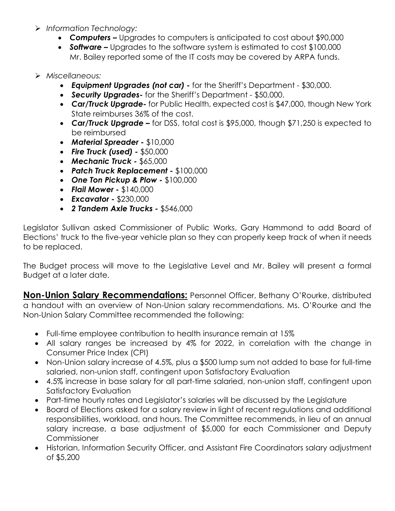- *Information Technology:*
	- *Computers –* Upgrades to computers is anticipated to cost about \$90,000
	- *Software –* Upgrades to the software system is estimated to cost \$100,000 Mr. Bailey reported some of the IT costs may be covered by ARPA funds.

#### *Miscellaneous:*

- *Equipment Upgrades (not car) -* for the Sheriff's Department \$30,000.
- *Security Upgrades-* for the Sheriff's Department \$50,000.
- *Car/Truck Upgrade-* for Public Health, expected cost is \$47,000, though New York State reimburses 36% of the cost.
- *Car/Truck Upgrade –* for DSS, total cost is \$95,000, though \$71,250 is expected to be reimbursed
- *Material Spreader -* \$10,000
- *Fire Truck (used) -* \$50,000
- *Mechanic Truck -* \$65,000
- *Patch Truck Replacement -* \$100,000
- *One Ton Pickup & Plow -* \$100,000
- *Flail Mower -* \$140,000
- *Excavator -* \$230,000
- *2 Tandem Axle Trucks -* \$546,000

Legislator Sullivan asked Commissioner of Public Works, Gary Hammond to add Board of Elections' truck to the five-year vehicle plan so they can properly keep track of when it needs to be replaced.

The Budget process will move to the Legislative Level and Mr. Bailey will present a formal Budget at a later date.

**Non-Union Salary Recommendations:** Personnel Officer, Bethany O'Rourke, distributed a handout with an overview of Non-Union salary recommendations. Ms. O'Rourke and the Non-Union Salary Committee recommended the following:

- Full-time employee contribution to health insurance remain at 15%
- All salary ranges be increased by 4% for 2022, in correlation with the change in Consumer Price Index (CPI)
- Non-Union salary increase of 4.5%, plus a \$500 lump sum not added to base for full-time salaried, non-union staff, contingent upon Satisfactory Evaluation
- 4.5% increase in base salary for all part-time salaried, non-union staff, contingent upon Satisfactory Evaluation
- Part-time hourly rates and Legislator's salaries will be discussed by the Legislature
- Board of Elections asked for a salary review in light of recent regulations and additional responsibilities, workload, and hours. The Committee recommends, in lieu of an annual salary increase, a base adjustment of \$5,000 for each Commissioner and Deputy **Commissioner**
- Historian, Information Security Officer, and Assistant Fire Coordinators salary adjustment of \$5,200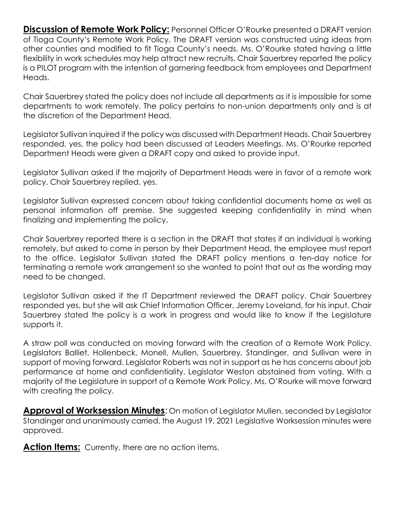**Discussion of Remote Work Policy:** Personnel Officer O'Rourke presented a DRAFT version of Tioga County's Remote Work Policy. The DRAFT version was constructed using ideas from other counties and modified to fit Tioga County's needs. Ms. O'Rourke stated having a little flexibility in work schedules may help attract new recruits. Chair Sauerbrey reported the policy is a PILOT program with the intention of garnering feedback from employees and Department Heads.

Chair Sauerbrey stated the policy does not include all departments as it is impossible for some departments to work remotely. The policy pertains to non-union departments only and is at the discretion of the Department Head.

Legislator Sullivan inquired if the policy was discussed with Department Heads. Chair Sauerbrey responded, yes, the policy had been discussed at Leaders Meetings. Ms. O'Rourke reported Department Heads were given a DRAFT copy and asked to provide input.

Legislator Sullivan asked if the majority of Department Heads were in favor of a remote work policy. Chair Sauerbrey replied, yes.

Legislator Sullivan expressed concern about taking confidential documents home as well as personal information off premise. She suggested keeping confidentiality in mind when finalizing and implementing the policy.

Chair Sauerbrey reported there is a section in the DRAFT that states if an individual is working remotely, but asked to come in person by their Department Head, the employee must report to the office. Legislator Sullivan stated the DRAFT policy mentions a ten-day notice for terminating a remote work arrangement so she wanted to point that out as the wording may need to be changed.

Legislator Sullivan asked if the IT Department reviewed the DRAFT policy. Chair Sauerbrey responded yes, but she will ask Chief Information Officer, Jeremy Loveland, for his input. Chair Sauerbrey stated the policy is a work in progress and would like to know if the Legislature supports it.

A straw poll was conducted on moving forward with the creation of a Remote Work Policy. Legislators Balliet, Hollenbeck, Monell, Mullen, Sauerbrey, Standinger, and Sullivan were in support of moving forward. Legislator Roberts was not in support as he has concerns about job performance at home and confidentiality. Legislator Weston abstained from voting. With a majority of the Legislature in support of a Remote Work Policy, Ms. O'Rourke will move forward with creating the policy.

**Approval of Worksession Minutes**: On motion of Legislator Mullen, seconded by Legislator Standinger and unanimously carried, the August 19, 2021 Legislative Worksession minutes were approved.

Action Items: Currently, there are no action items.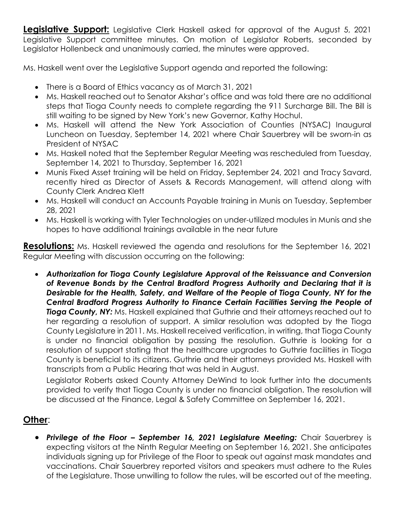**Legislative Support:** Legislative Clerk Haskell asked for approval of the August 5, 2021 Legislative Support committee minutes. On motion of Legislator Roberts, seconded by Legislator Hollenbeck and unanimously carried, the minutes were approved.

Ms. Haskell went over the Legislative Support agenda and reported the following:

- There is a Board of Ethics vacancy as of March 31, 2021
- Ms. Haskell reached out to Senator Akshar's office and was told there are no additional steps that Tioga County needs to complete regarding the 911 Surcharge Bill. The Bill is still waiting to be signed by New York's new Governor, Kathy Hochul.
- Ms. Haskell will attend the New York Association of Counties (NYSAC) Inaugural Luncheon on Tuesday, September 14, 2021 where Chair Sauerbrey will be sworn-in as President of NYSAC
- Ms. Haskell noted that the September Regular Meeting was rescheduled from Tuesday, September 14, 2021 to Thursday, September 16, 2021
- Munis Fixed Asset training will be held on Friday, September 24, 2021 and Tracy Savard, recently hired as Director of Assets & Records Management, will attend along with County Clerk Andrea Klett
- Ms. Haskell will conduct an Accounts Payable training in Munis on Tuesday, September 28, 2021
- Ms. Haskell is working with Tyler Technologies on under-utilized modules in Munis and she hopes to have additional trainings available in the near future

**Resolutions:** Ms. Haskell reviewed the agenda and resolutions for the September 16, 2021 Regular Meeting with discussion occurring on the following:

 *Authorization for Tioga County Legislature Approval of the Reissuance and Conversion of Revenue Bonds by the Central Bradford Progress Authority and Declaring that it is Desirable for the Health, Safety, and Welfare of the People of Tioga County, NY for the Central Bradford Progress Authority to Finance Certain Facilities Serving the People of* **Tioga County, NY:** Ms. Haskell explained that Guthrie and their attorneys reached out to her regarding a resolution of support. A similar resolution was adopted by the Tioga County Legislature in 2011. Ms. Haskell received verification, in writing, that Tioga County is under no financial obligation by passing the resolution. Guthrie is looking for a resolution of support stating that the healthcare upgrades to Guthrie facilities in Tioga County is beneficial to its citizens. Guthrie and their attorneys provided Ms. Haskell with transcripts from a Public Hearing that was held in August.

Legislator Roberts asked County Attorney DeWind to look further into the documents provided to verify that Tioga County is under no financial obligation. The resolution will be discussed at the Finance, Legal & Safety Committee on September 16, 2021.

# **Other**:

 *Privilege of the Floor – September 16, 2021 Legislature Meeting:* Chair Sauerbrey is expecting visitors at the Ninth Regular Meeting on September 16, 2021. She anticipates individuals signing up for Privilege of the Floor to speak out against mask mandates and vaccinations. Chair Sauerbrey reported visitors and speakers must adhere to the Rules of the Legislature. Those unwilling to follow the rules, will be escorted out of the meeting.